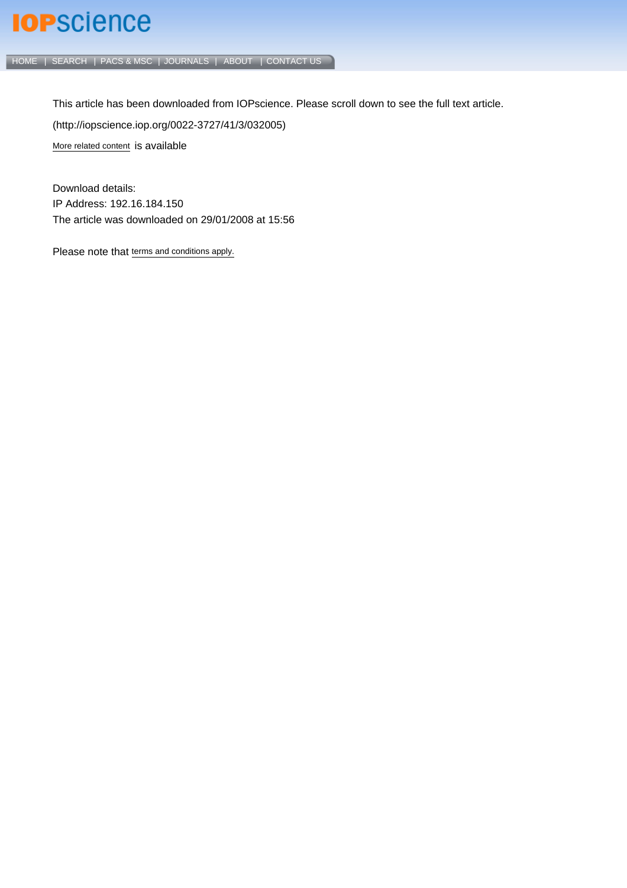## **IOP**science

[HOME](http://iopscience.iop.org/) | [SEARCH](http://iopscience.iop.org/search) | [PACS & MSC](http://iopscience.iop.org/pacs) | [JOURNALS](http://iopscience.iop.org/journals) | [ABOUT](http://iopscience.iop.org/page/aboutioppublishing) | [CONTACT US](http://iopscience.iop.org/contact)

This article has been downloaded from IOPscience. Please scroll down to see the full text article. (http://iopscience.iop.org/0022-3727/41/3/032005) [More related content](http://iopscience.iop.org/0022-3727/41/3/032005/related) is available

Download details: IP Address: 192.16.184.150 The article was downloaded on 29/01/2008 at 15:56

Please note that [terms and conditions apply.](http://www.iop.org/Terms_&_Conditions)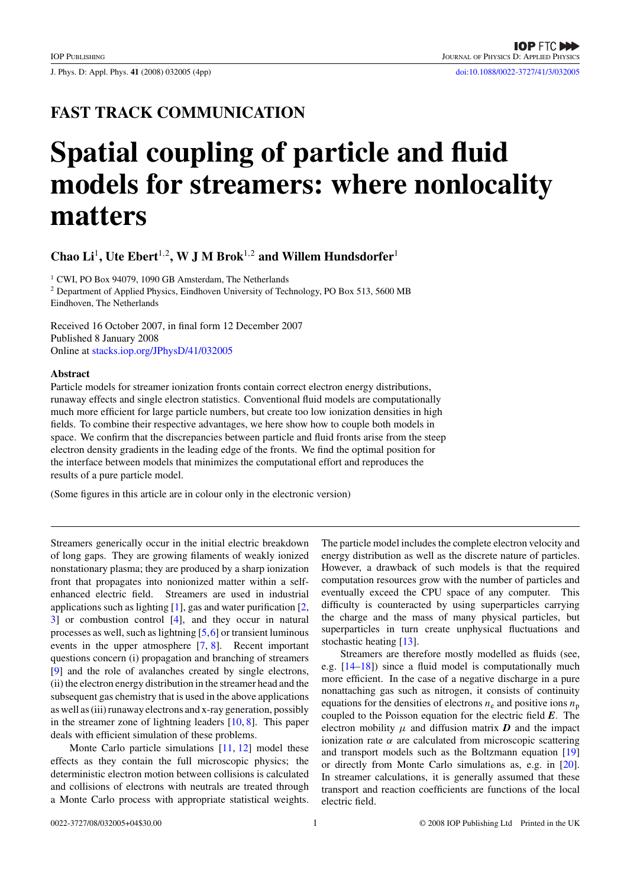J. Phys. D: Appl. Phys. **41** (2008) 032005 (4pp) [doi:10.1088/0022-3727/41/3/032005](http://dx.doi.org/10.1088/0022-3727/41/3/032005)

### **FAST TRACK COMMUNICATION**

# **Spatial coupling of particle and fluid models for streamers: where nonlocality matters**

**Chao Li**<sup>1</sup>**, Ute Ebert**<sup>1</sup>*,*<sup>2</sup>**, W J M Brok**<sup>1</sup>*,*<sup>2</sup> **and Willem Hundsdorfer**<sup>1</sup>

<sup>1</sup> CWI, PO Box 94079, 1090 GB Amsterdam, The Netherlands <sup>2</sup> Department of Applied Physics, Eindhoven University of Technology, PO Box 513, 5600 MB Eindhoven, The Netherlands

Received 16 October 2007, in final form 12 December 2007 Published 8 January 2008 Online at [stacks.iop.org/JPhysD/41/032005](http://stacks.iop.org/JPhysD/41/032005)

#### **Abstract**

Particle models for streamer ionization fronts contain correct electron energy distributions, runaway effects and single electron statistics. Conventional fluid models are computationally much more efficient for large particle numbers, but create too low ionization densities in high fields. To combine their respective advantages, we here show how to couple both models in space. We confirm that the discrepancies between particle and fluid fronts arise from the steep electron density gradients in the leading edge of the fronts. We find the optimal position for the interface between models that minimizes the computational effort and reproduces the results of a pure particle model.

(Some figures in this article are in colour only in the electronic version)

Streamers generically occur in the initial electric breakdown of long gaps. They are growing filaments of weakly ionized nonstationary plasma; they are produced by a sharp ionization front that propagates into nonionized matter within a selfenhanced electric field. Streamers are used in industrial applications such as lighting  $[1]$ , gas and water purification  $[2]$ , [3\]](#page-4-0) or combustion control [\[4\]](#page-4-0), and they occur in natural processes as well, such as lightning [\[5,6\]](#page-4-0) or transient luminous events in the upper atmosphere [\[7,](#page-4-0) [8\]](#page-4-0). Recent important questions concern (i) propagation and branching of streamers [\[9\]](#page-4-0) and the role of avalanches created by single electrons, (ii) the electron energy distribution in the streamer head and the subsequent gas chemistry that is used in the above applications as well as (iii) runaway electrons and x-ray generation, possibly in the streamer zone of lightning leaders [\[10,](#page-4-0) [8\]](#page-4-0). This paper deals with efficient simulation of these problems.

Monte Carlo particle simulations [\[11,](#page-4-0) [12\]](#page-4-0) model these effects as they contain the full microscopic physics; the deterministic electron motion between collisions is calculated and collisions of electrons with neutrals are treated through a Monte Carlo process with appropriate statistical weights. The particle model includes the complete electron velocity and energy distribution as well as the discrete nature of particles. However, a drawback of such models is that the required computation resources grow with the number of particles and eventually exceed the CPU space of any computer. This difficulty is counteracted by using superparticles carrying the charge and the mass of many physical particles, but superparticles in turn create unphysical fluctuations and stochastic heating [\[13\]](#page-4-0).

Streamers are therefore mostly modelled as fluids (see, e.g.  $[14-18]$ ) since a fluid model is computationally much more efficient. In the case of a negative discharge in a pure nonattaching gas such as nitrogen, it consists of continuity equations for the densities of electrons  $n_e$  and positive ions  $n_p$ coupled to the Poisson equation for the electric field *E*. The electron mobility  $\mu$  and diffusion matrix  $\bm{D}$  and the impact ionization rate  $\alpha$  are calculated from microscopic scattering and transport models such as the Boltzmann equation [\[19\]](#page-4-0) or directly from Monte Carlo simulations as, e.g. in [\[20\]](#page-4-0). In streamer calculations, it is generally assumed that these transport and reaction coefficients are functions of the local electric field.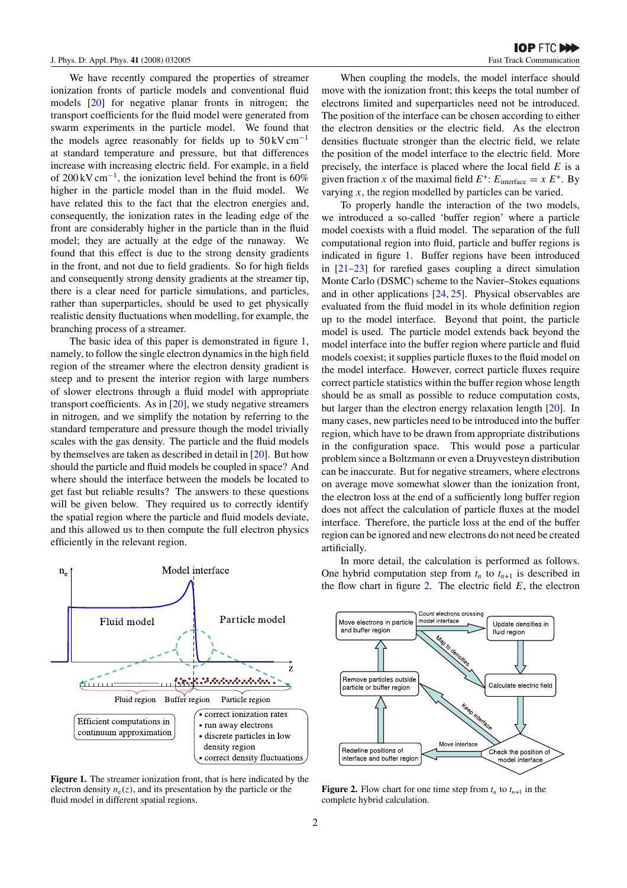<span id="page-2-0"></span>We have recently compared the properties of streamer ionization fronts of particle models and conventional fluid models [\[20\]](#page-4-0) for negative planar fronts in nitrogen; the transport coefficients for the fluid model were generated from swarm experiments in the particle model. We found that the models agree reasonably for fields up to  $50 \,\mathrm{kV \, cm^{-1}}$ at standard temperature and pressure, but that differences increase with increasing electric field. For example, in a field of 200 kV cm<sup>-1</sup>, the ionization level behind the front is 60% higher in the particle model than in the fluid model. We have related this to the fact that the electron energies and, consequently, the ionization rates in the leading edge of the front are considerably higher in the particle than in the fluid model; they are actually at the edge of the runaway. We found that this effect is due to the strong density gradients in the front, and not due to field gradients. So for high fields and consequently strong density gradients at the streamer tip, there is a clear need for particle simulations, and particles, rather than superparticles, should be used to get physically realistic density fluctuations when modelling, for example, the branching process of a streamer.

The basic idea of this paper is demonstrated in figure 1, namely, to follow the single electron dynamics in the high field region of the streamer where the electron density gradient is steep and to present the interior region with large numbers of slower electrons through a fluid model with appropriate transport coefficients. As in [\[20\]](#page-4-0), we study negative streamers in nitrogen, and we simplify the notation by referring to the standard temperature and pressure though the model trivially scales with the gas density. The particle and the fluid models by themselves are taken as described in detail in [\[20\]](#page-4-0). But how should the particle and fluid models be coupled in space? And where should the interface between the models be located to get fast but reliable results? The answers to these questions will be given below. They required us to correctly identify the spatial region where the particle and fluid models deviate, and this allowed us to then compute the full electron physics efficiently in the relevant region.



**Figure 1.** The streamer ionization front, that is here indicated by the electron density  $n_e(z)$ , and its presentation by the particle or the fluid model in different spatial regions.

When coupling the models, the model interface should move with the ionization front; this keeps the total number of electrons limited and superparticles need not be introduced. The position of the interface can be chosen according to either the electron densities or the electric field. As the electron densities fluctuate stronger than the electric field, we relate the position of the model interface to the electric field. More precisely, the interface is placed where the local field *E* is a given fraction *x* of the maximal field  $E^+$ :  $E_{\text{interface}} = x E^+$ . By varying *x*, the region modelled by particles can be varied.

To properly handle the interaction of the two models, we introduced a so-called 'buffer region' where a particle model coexists with a fluid model. The separation of the full computational region into fluid, particle and buffer regions is indicated in figure 1. Buffer regions have been introduced in [\[21–23\]](#page-4-0) for rarefied gases coupling a direct simulation Monte Carlo (DSMC) scheme to the Navier–Stokes equations and in other applications [\[24,](#page-4-0) [25\]](#page-4-0). Physical observables are evaluated from the fluid model in its whole definition region up to the model interface. Beyond that point, the particle model is used. The particle model extends back beyond the model interface into the buffer region where particle and fluid models coexist; it supplies particle fluxes to the fluid model on the model interface. However, correct particle fluxes require correct particle statistics within the buffer region whose length should be as small as possible to reduce computation costs, but larger than the electron energy relaxation length [\[20\]](#page-4-0). In many cases, new particles need to be introduced into the buffer region, which have to be drawn from appropriate distributions in the configuration space. This would pose a particular problem since a Boltzmann or even a Druyvesteyn distribution can be inaccurate. But for negative streamers, where electrons on average move somewhat slower than the ionization front, the electron loss at the end of a sufficiently long buffer region does not affect the calculation of particle fluxes at the model interface. Therefore, the particle loss at the end of the buffer region can be ignored and new electrons do not need be created artificially.

In more detail, the calculation is performed as follows. One hybrid computation step from  $t_n$  to  $t_{n+1}$  is described in the flow chart in figure 2. The electric field *E*, the electron



**Figure 2.** Flow chart for one time step from  $t_n$  to  $t_{n+1}$  in the complete hybrid calculation.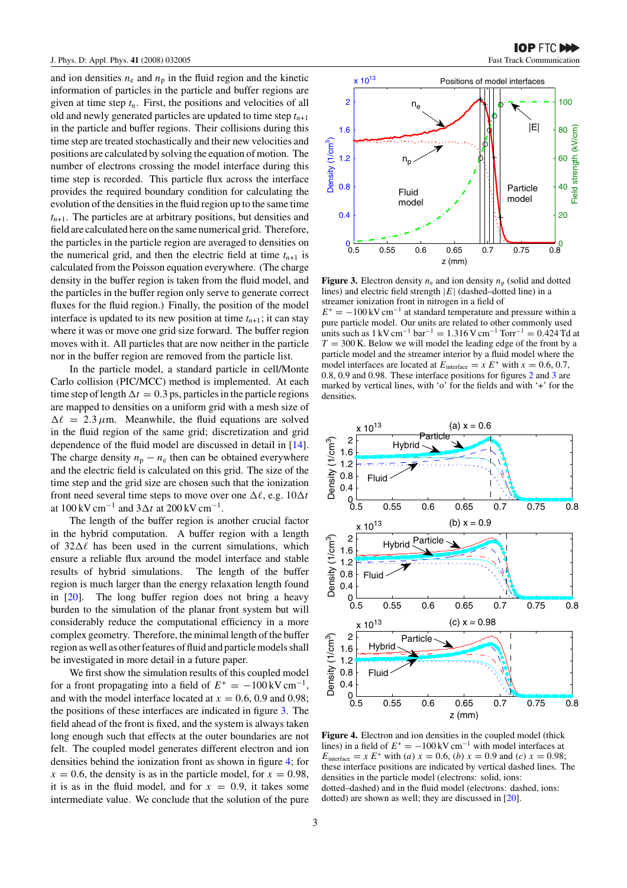and ion densities  $n_e$  and  $n_p$  in the fluid region and the kinetic information of particles in the particle and buffer regions are given at time step  $t_n$ . First, the positions and velocities of all old and newly generated particles are updated to time step  $t_{n+1}$ in the particle and buffer regions. Their collisions during this time step are treated stochastically and their new velocities and positions are calculated by solving the equation of motion. The number of electrons crossing the model interface during this time step is recorded. This particle flux across the interface provides the required boundary condition for calculating the evolution of the densities in the fluid region up to the same time  $t_{n+1}$ . The particles are at arbitrary positions, but densities and field are calculated here on the same numerical grid. Therefore, the particles in the particle region are averaged to densities on the numerical grid, and then the electric field at time  $t_{n+1}$  is calculated from the Poisson equation everywhere. (The charge density in the buffer region is taken from the fluid model, and the particles in the buffer region only serve to generate correct fluxes for the fluid region.) Finally, the position of the model interface is updated to its new position at time  $t_{n+1}$ ; it can stay where it was or move one grid size forward. The buffer region moves with it. All particles that are now neither in the particle nor in the buffer region are removed from the particle list.

In the particle model, a standard particle in cell/Monte Carlo collision (PIC/MCC) method is implemented. At each time step of length  $\Delta t = 0.3$  ps, particles in the particle regions are mapped to densities on a uniform grid with a mesh size of  $\Delta \ell = 2.3 \,\mu$ m. Meanwhile, the fluid equations are solved in the fluid region of the same grid; discretization and grid dependence of the fluid model are discussed in detail in [\[14\]](#page-4-0). The charge density  $n_p - n_e$  then can be obtained everywhere and the electric field is calculated on this grid. The size of the time step and the grid size are chosen such that the ionization front need several time steps to move over one  $\Delta \ell$ , e.g.  $10\Delta t$ at  $100 \,\mathrm{kV \, cm^{-1}}$  and  $3\Delta t$  at  $200 \,\mathrm{kV \, cm^{-1}}$ .

The length of the buffer region is another crucial factor in the hybrid computation. A buffer region with a length of  $32\Delta\ell$  has been used in the current simulations, which ensure a reliable flux around the model interface and stable results of hybrid simulations. The length of the buffer region is much larger than the energy relaxation length found in [\[20\]](#page-4-0). The long buffer region does not bring a heavy burden to the simulation of the planar front system but will considerably reduce the computational efficiency in a more complex geometry. Therefore, the minimal length of the buffer region as well as other features of fluid and particle models shall be investigated in more detail in a future paper.

We first show the simulation results of this coupled model for a front propagating into a field of  $E^+ = -100 \,\text{kV cm}^{-1}$ , and with the model interface located at  $x = 0.6, 0.9$  and 0.98; the positions of these interfaces are indicated in figure 3. The field ahead of the front is fixed, and the system is always taken long enough such that effects at the outer boundaries are not felt. The coupled model generates different electron and ion densities behind the ionization front as shown in figure 4; for  $x = 0.6$ , the density is as in the particle model, for  $x = 0.98$ , it is as in the fluid model, and for  $x = 0.9$ , it takes some intermediate value. We conclude that the solution of the pure



**Figure 3.** Electron density  $n_e$  and ion density  $n_p$  (solid and dotted lines) and electric field strength |*E*| (dashed–dotted line) in a streamer ionization front in nitrogen in a field of

 $E^+ = -100 \,\text{kV cm}^{-1}$  at standard temperature and pressure within a pure particle model. Our units are related to other commonly used units such as  $1 \text{ kV cm}^{-1}$  bar<sup>-1</sup> = 1.316 V cm<sup>-1</sup> Torr<sup>-1</sup> = 0.424 Td at  $T = 300$  K. Below we will model the leading edge of the front by a particle model and the streamer interior by a fluid model where the model interfaces are located at  $E_{\text{interface}} = x E^+$  with  $x = 0.6, 0.7$ , 0.8, 0.9 and 0.98. These interface positions for figures [2](#page-2-0) and 3 are marked by vertical lines, with 'o' for the fields and with '+' for the densities.



**Figure 4.** Electron and ion densities in the coupled model (thick lines) in a field of  $E^+ = -100 \,\text{kV cm}^{-1}$  with model interfaces at *E*<sub>interface = *x E*<sup>+</sup> with *(a) x* = 0.6, *(b) x* = 0.9 and *(c) x* = 0.98;</sub> these interface positions are indicated by vertical dashed lines. The densities in the particle model (electrons: solid, ions: dotted–dashed) and in the fluid model (electrons: dashed, ions: dotted) are shown as well; they are discussed in [\[20\]](#page-4-0).